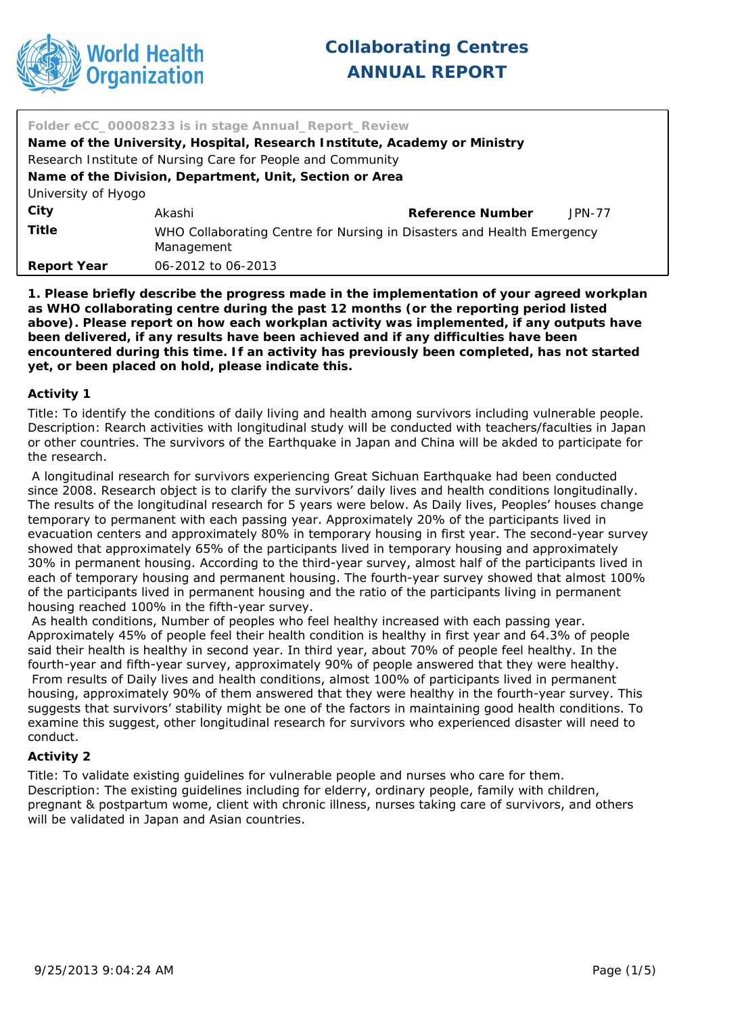

| Folder eCC_00008233 is in stage Annual_Report_Review                      |                                                                                      |                  |          |
|---------------------------------------------------------------------------|--------------------------------------------------------------------------------------|------------------|----------|
| Name of the University, Hospital, Research Institute, Academy or Ministry |                                                                                      |                  |          |
| Research Institute of Nursing Care for People and Community               |                                                                                      |                  |          |
| Name of the Division, Department, Unit, Section or Area                   |                                                                                      |                  |          |
| University of Hyogo                                                       |                                                                                      |                  |          |
| City                                                                      | Akashi                                                                               | Reference Number | $JPN-77$ |
| Title                                                                     | WHO Collaborating Centre for Nursing in Disasters and Health Emergency<br>Management |                  |          |
| Report Year                                                               | 06-2012 to 06-2013                                                                   |                  |          |

**1. Please briefly describe the progress made in the implementation of your agreed workplan as WHO collaborating centre during the past 12 months (or the reporting period listed above). Please report on how each workplan activity was implemented, if any outputs have been delivered, if any results have been achieved and if any difficulties have been encountered during this time. If an activity has previously been completed, has not started yet, or been placed on hold, please indicate this.**

#### **Activity 1**

Title: To identify the conditions of daily living and health among survivors including vulnerable people. Description: Rearch activities with longitudinal study will be conducted with teachers/faculties in Japan or other countries. The survivors of the Earthquake in Japan and China will be akded to participate for the research.

A longitudinal research for survivors experiencing Great Sichuan Earthquake had been conducted since 2008. Research object is to clarify the survivors' daily lives and health conditions longitudinally. The results of the longitudinal research for 5 years were below. As Daily lives, Peoples' houses change temporary to permanent with each passing year. Approximately 20% of the participants lived in evacuation centers and approximately 80% in temporary housing in first year. The second-year survey showed that approximately 65% of the participants lived in temporary housing and approximately 30% in permanent housing. According to the third-year survey, almost half of the participants lived in each of temporary housing and permanent housing. The fourth-year survey showed that almost 100% of the participants lived in permanent housing and the ratio of the participants living in permanent housing reached 100% in the fifth-year survey.

As health conditions, Number of peoples who feel healthy increased with each passing year. Approximately 45% of people feel their health condition is healthy in first year and 64.3% of people said their health is healthy in second year. In third year, about 70% of people feel healthy. In the fourth-year and fifth-year survey, approximately 90% of people answered that they were healthy. From results of Daily lives and health conditions, almost 100% of participants lived in permanent housing, approximately 90% of them answered that they were healthy in the fourth-year survey. This suggests that survivors' stability might be one of the factors in maintaining good health conditions. To examine this suggest, other longitudinal research for survivors who experienced disaster will need to conduct.

#### **Activity 2**

Title: To validate existing guidelines for vulnerable people and nurses who care for them. Description: The existing guidelines including for elderry, ordinary people, family with children, pregnant & postpartum wome, client with chronic illness, nurses taking care of survivors, and others will be validated in Japan and Asian countries.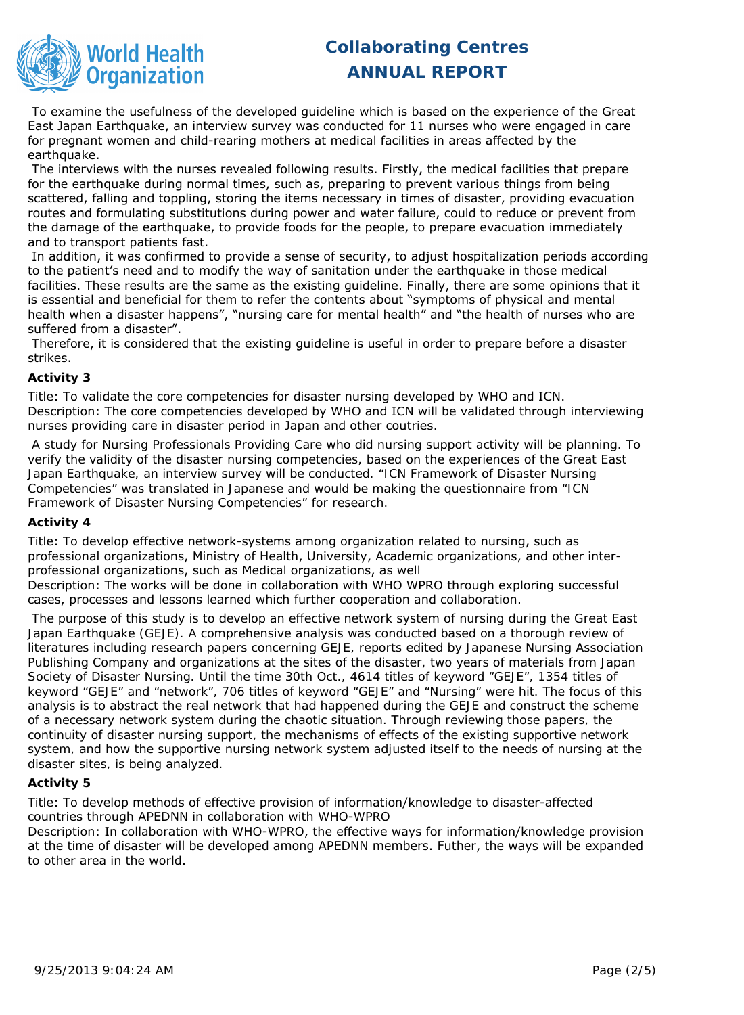

To examine the usefulness of the developed quideline which is based on the experience of the Great East Japan Earthquake, an interview survey was conducted for 11 nurses who were engaged in care for pregnant women and child-rearing mothers at medical facilities in areas affected by the earthquake.

The interviews with the nurses revealed following results. Firstly, the medical facilities that prepare for the earthquake during normal times, such as, preparing to prevent various things from being scattered, falling and toppling, storing the items necessary in times of disaster, providing evacuation routes and formulating substitutions during power and water failure, could to reduce or prevent from the damage of the earthquake, to provide foods for the people, to prepare evacuation immediately and to transport patients fast.

In addition, it was confirmed to provide a sense of security, to adjust hospitalization periods according to the patient's need and to modify the way of sanitation under the earthquake in those medical facilities. These results are the same as the existing guideline. Finally, there are some opinions that it is essential and beneficial for them to refer the contents about "symptoms of physical and mental health when a disaster happens", "nursing care for mental health" and "the health of nurses who are suffered from a disaster".

Therefore, it is considered that the existing guideline is useful in order to prepare before a disaster strikes.

## **Activity 3**

Title: To validate the core competencies for disaster nursing developed by WHO and ICN. Description: The core competencies developed by WHO and ICN will be validated through interviewing nurses providing care in disaster period in Japan and other coutries.

 A study for Nursing Professionals Providing Care who did nursing support activity will be planning. To verify the validity of the disaster nursing competencies, based on the experiences of the Great East Japan Earthquake, an interview survey will be conducted. "ICN Framework of Disaster Nursing Competencies" was translated in Japanese and would be making the questionnaire from "ICN Framework of Disaster Nursing Competencies" for research.

## **Activity 4**

Title: To develop effective network-systems among organization related to nursing, such as professional organizations, Ministry of Health, University, Academic organizations, and other interprofessional organizations, such as Medical organizations, as well

Description: The works will be done in collaboration with WHO WPRO through exploring successful cases, processes and lessons learned which further cooperation and collaboration.

 The purpose of this study is to develop an effective network system of nursing during the Great East Japan Earthquake (GEJE). A comprehensive analysis was conducted based on a thorough review of literatures including research papers concerning GEJE, reports edited by Japanese Nursing Association Publishing Company and organizations at the sites of the disaster, two years of materials from Japan Society of Disaster Nursing. Until the time 30th Oct., 4614 titles of keyword "GEJE", 1354 titles of keyword "GEJE" and "network", 706 titles of keyword "GEJE" and "Nursing" were hit. The focus of this analysis is to abstract the real network that had happened during the GEJE and construct the scheme of a necessary network system during the chaotic situation. Through reviewing those papers, the continuity of disaster nursing support, the mechanisms of effects of the existing supportive network system, and how the supportive nursing network system adjusted itself to the needs of nursing at the disaster sites, is being analyzed.

## **Activity 5**

Title: To develop methods of effective provision of information/knowledge to disaster-affected countries through APEDNN in collaboration with WHO-WPRO

Description: In collaboration with WHO-WPRO, the effective ways for information/knowledge provision at the time of disaster will be developed among APEDNN members. Futher, the ways will be expanded to other area in the world.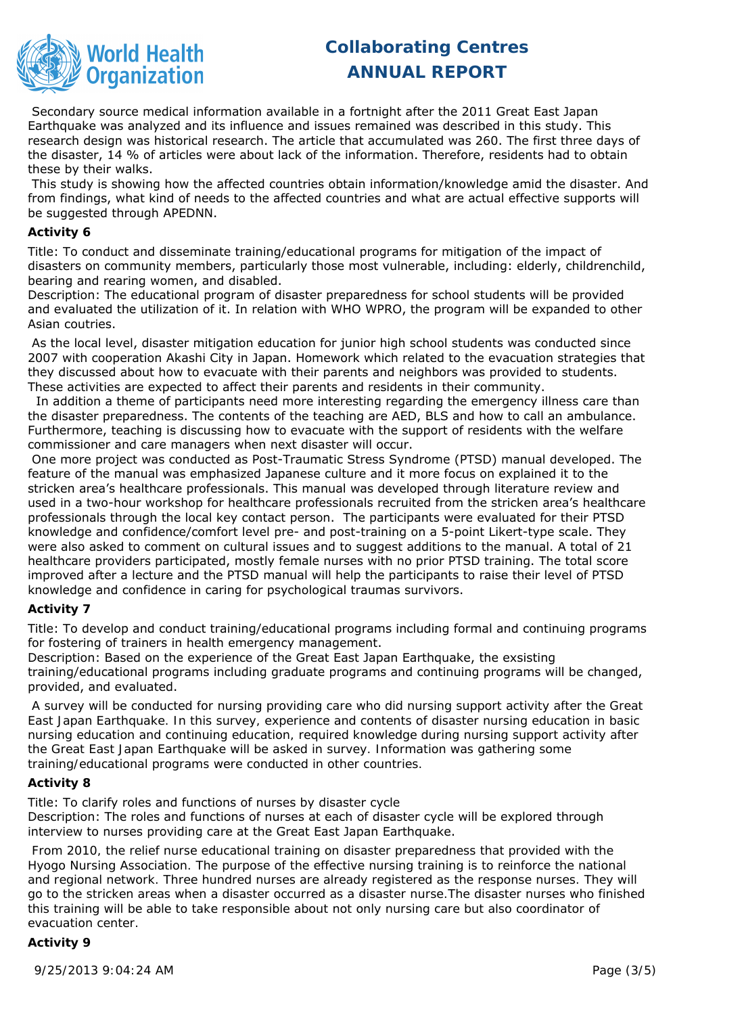

Secondary source medical information available in a fortnight after the 2011 Great East Japan Earthquake was analyzed and its influence and issues remained was described in this study. This research design was historical research. The article that accumulated was 260. The first three days of the disaster, 14 % of articles were about lack of the information. Therefore, residents had to obtain these by their walks.

This study is showing how the affected countries obtain information/knowledge amid the disaster. And from findings, what kind of needs to the affected countries and what are actual effective supports will be suggested through APEDNN.

#### **Activity 6**

Title: To conduct and disseminate training/educational programs for mitigation of the impact of disasters on community members, particularly those most vulnerable, including: elderly, childrenchild, bearing and rearing women, and disabled.

Description: The educational program of disaster preparedness for school students will be provided and evaluated the utilization of it. In relation with WHO WPRO, the program will be expanded to other Asian coutries.

As the local level, disaster mitigation education for junior high school students was conducted since 2007 with cooperation Akashi City in Japan. Homework which related to the evacuation strategies that they discussed about how to evacuate with their parents and neighbors was provided to students. These activities are expected to affect their parents and residents in their community.

In addition a theme of participants need more interesting regarding the emergency illness care than the disaster preparedness. The contents of the teaching are AED, BLS and how to call an ambulance. Furthermore, teaching is discussing how to evacuate with the support of residents with the welfare commissioner and care managers when next disaster will occur.

One more project was conducted as Post-Traumatic Stress Syndrome (PTSD) manual developed. The feature of the manual was emphasized Japanese culture and it more focus on explained it to the stricken area's healthcare professionals. This manual was developed through literature review and used in a two-hour workshop for healthcare professionals recruited from the stricken area's healthcare professionals through the local key contact person. The participants were evaluated for their PTSD knowledge and confidence/comfort level pre- and post-training on a 5-point Likert-type scale. They were also asked to comment on cultural issues and to suggest additions to the manual. A total of 21 healthcare providers participated, mostly female nurses with no prior PTSD training. The total score improved after a lecture and the PTSD manual will help the participants to raise their level of PTSD knowledge and confidence in caring for psychological traumas survivors.

## **Activity 7**

Title: To develop and conduct training/educational programs including formal and continuing programs for fostering of trainers in health emergency management.

Description: Based on the experience of the Great East Japan Earthquake, the exsisting training/educational programs including graduate programs and continuing programs will be changed, provided, and evaluated.

 A survey will be conducted for nursing providing care who did nursing support activity after the Great East Japan Earthquake. In this survey, experience and contents of disaster nursing education in basic nursing education and continuing education, required knowledge during nursing support activity after the Great East Japan Earthquake will be asked in survey. Information was gathering some training/educational programs were conducted in other countries.

## **Activity 8**

Title: To clarify roles and functions of nurses by disaster cycle Description: The roles and functions of nurses at each of disaster cycle will be explored through interview to nurses providing care at the Great East Japan Earthquake.

 From 2010, the relief nurse educational training on disaster preparedness that provided with the Hyogo Nursing Association. The purpose of the effective nursing training is to reinforce the national and regional network. Three hundred nurses are already registered as the response nurses. They will go to the stricken areas when a disaster occurred as a disaster nurse.The disaster nurses who finished this training will be able to take responsible about not only nursing care but also coordinator of evacuation center.

## **Activity 9**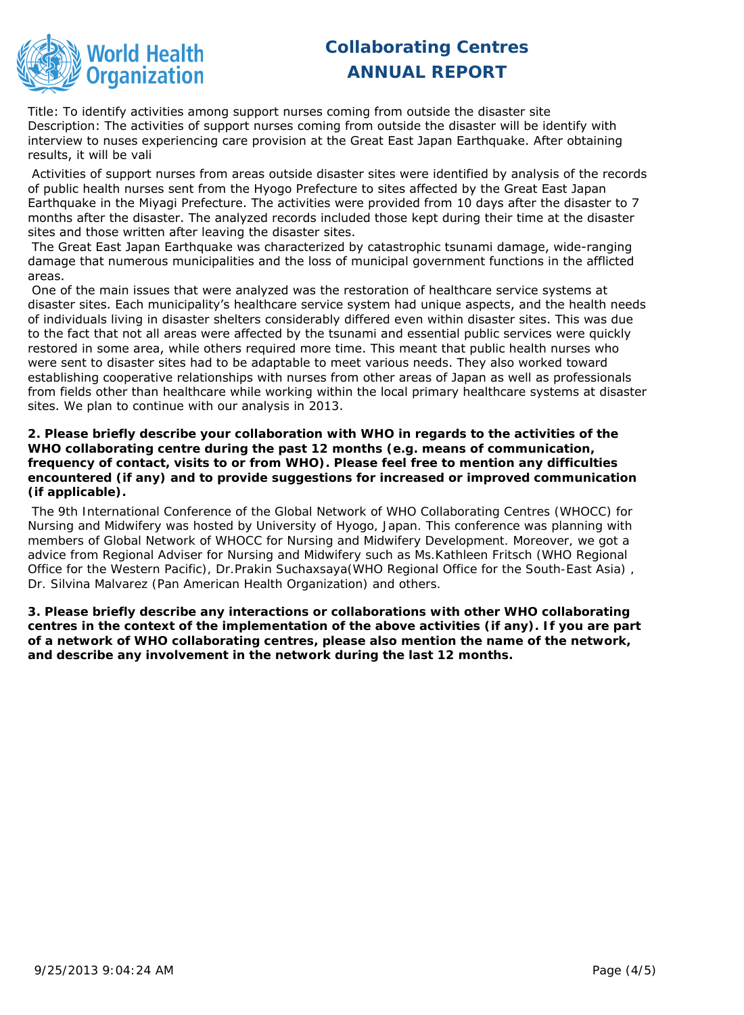

Title: To identify activities among support nurses coming from outside the disaster site Description: The activities of support nurses coming from outside the disaster will be identify with interview to nuses experiencing care provision at the Great East Japan Earthquake. After obtaining results, it will be vali

Activities of support nurses from areas outside disaster sites were identified by analysis of the records of public health nurses sent from the Hyogo Prefecture to sites affected by the Great East Japan Earthquake in the Miyagi Prefecture. The activities were provided from 10 days after the disaster to 7 months after the disaster. The analyzed records included those kept during their time at the disaster sites and those written after leaving the disaster sites.

The Great East Japan Earthquake was characterized by catastrophic tsunami damage, wide-ranging damage that numerous municipalities and the loss of municipal government functions in the afflicted areas.

One of the main issues that were analyzed was the restoration of healthcare service systems at disaster sites. Each municipality's healthcare service system had unique aspects, and the health needs of individuals living in disaster shelters considerably differed even within disaster sites. This was due to the fact that not all areas were affected by the tsunami and essential public services were quickly restored in some area, while others required more time. This meant that public health nurses who were sent to disaster sites had to be adaptable to meet various needs. They also worked toward establishing cooperative relationships with nurses from other areas of Japan as well as professionals from fields other than healthcare while working within the local primary healthcare systems at disaster sites. We plan to continue with our analysis in 2013.

**2. Please briefly describe your collaboration with WHO in regards to the activities of the WHO collaborating centre during the past 12 months (e.g. means of communication, frequency of contact, visits to or from WHO). Please feel free to mention any difficulties encountered (if any) and to provide suggestions for increased or improved communication (if applicable).**

 The 9th International Conference of the Global Network of WHO Collaborating Centres (WHOCC) for Nursing and Midwifery was hosted by University of Hyogo, Japan. This conference was planning with members of Global Network of WHOCC for Nursing and Midwifery Development. Moreover, we got a advice from Regional Adviser for Nursing and Midwifery such as Ms.Kathleen Fritsch (WHO Regional Office for the Western Pacific), Dr.Prakin Suchaxsaya(WHO Regional Office for the South-East Asia) , Dr. Silvina Malvarez (Pan American Health Organization) and others.

**3. Please briefly describe any interactions or collaborations with other WHO collaborating centres in the context of the implementation of the above activities (if any). If you are part of a network of WHO collaborating centres, please also mention the name of the network, and describe any involvement in the network during the last 12 months.**